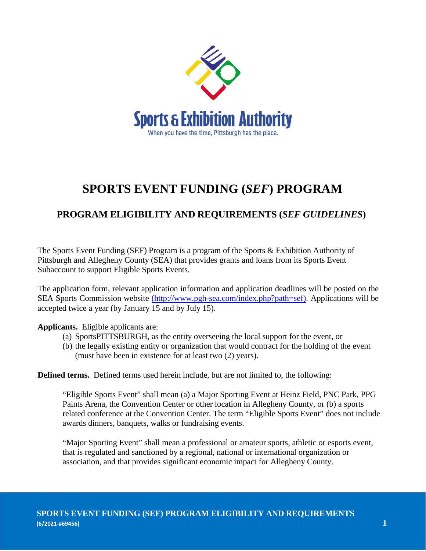

## **SPORTS EVENT FUNDING (***SEF***) PROGRAM**

## **PROGRAM ELIGIBILITY AND REQUIREMENTS (***SEF GUIDELINES***)**

The Sports Event Funding (SEF) Program is a program of the Sports & Exhibition Authority of Pittsburgh and Allegheny County (SEA) that provides grants and loans from its Sports Event Subaccount to support Eligible Sports Events.

The application form, relevant application information and application deadlines will be posted on the SEA Sports Commission website [\(http://www.pgh-sea.com/index.php?path=sef\).](http://www.pgh-sea.com/index.php?path=sef)) Applications will be accepted twice a year (by January 15 and by July 15).

**Applicants.** Eligible applicants are:

- (a) SportsPITTSBURGH, as the entity overseeing the local support for the event, or
- (b) the legally existing entity or organization that would contract for the holding of the event (must have been in existence for at least two (2) years).

**Defined terms.** Defined terms used herein include, but are not limited to, the following:

"Eligible Sports Event" shall mean (a) a Major Sporting Event at Heinz Field, PNC Park, PPG Paints Arena, the Convention Center or other location in Allegheny County, or (b) a sports related conference at the Convention Center. The term "Eligible Sports Event" does not include awards dinners, banquets, walks or fundraising events.

"Major Sporting Event" shall mean a professional or amateur sports, athletic or esports event, that is regulated and sanctioned by a regional, national or international organization or association, and that provides significant economic impact for Allegheny County.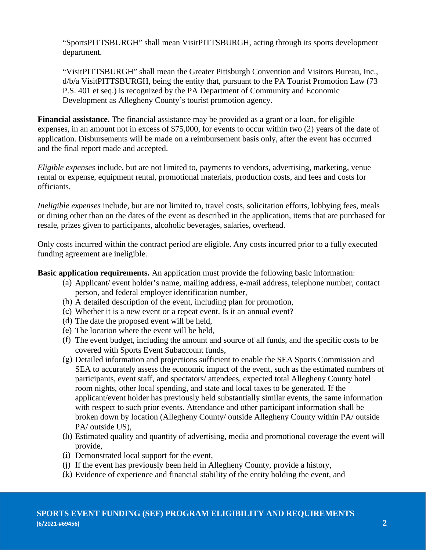"SportsPITTSBURGH" shall mean VisitPITTSBURGH, acting through its sports development department.

"VisitPITTSBURGH" shall mean the Greater Pittsburgh Convention and Visitors Bureau, Inc., d/b/a VisitPITTSBURGH, being the entity that, pursuant to the PA Tourist Promotion Law (73 P.S. 401 et seq.) is recognized by the PA Department of Community and Economic Development as Allegheny County's tourist promotion agency.

**Financial assistance.** The financial assistance may be provided as a grant or a loan, for eligible expenses, in an amount not in excess of \$75,000, for events to occur within two (2) years of the date of application. Disbursements will be made on a reimbursement basis only, after the event has occurred and the final report made and accepted.

*Eligible expenses* include, but are not limited to, payments to vendors, advertising, marketing, venue rental or expense, equipment rental, promotional materials, production costs, and fees and costs for officiants*.*

*Ineligible expenses* include, but are not limited to, travel costs, solicitation efforts, lobbying fees, meals or dining other than on the dates of the event as described in the application, items that are purchased for resale, prizes given to participants, alcoholic beverages, salaries, overhead.

Only costs incurred within the contract period are eligible. Any costs incurred prior to a fully executed funding agreement are ineligible.

**Basic application requirements.** An application must provide the following basic information:

- (a) Applicant/ event holder's name, mailing address, e-mail address, telephone number, contact person, and federal employer identification number,
- (b) A detailed description of the event, including plan for promotion,
- Whether it is a new event or a repeat event. Is it an annual event? (c)
- (d) The date the proposed event will be held,
- The location where the event will be held, (e)
- The event budget, including the amount and source of all funds, and the specific costs to be (f) covered with Sports Event Subaccount funds,
- Detailed information and projections sufficient to enable the SEA Sports Commission and (g) SEA to accurately assess the economic impact of the event, such as the estimated numbers of participants, event staff, and spectators/ attendees, expected total Allegheny County hotel room nights, other local spending, and state and local taxes to be generated. If the applicant/event holder has previously held substantially similar events, the same information with respect to such prior events. Attendance and other participant information shall be broken down by location (Allegheny County/ outside Allegheny County within PA/ outside PA/ outside US),
- Estimated quality and quantity of advertising, media and promotional coverage the event will (h) provide,
- Demonstrated local support for the event, (i)
- (j) If the event has previously been held in Allegheny County, provide a history,
- Evidence of experience and financial stability of the entity holding the event, and (k)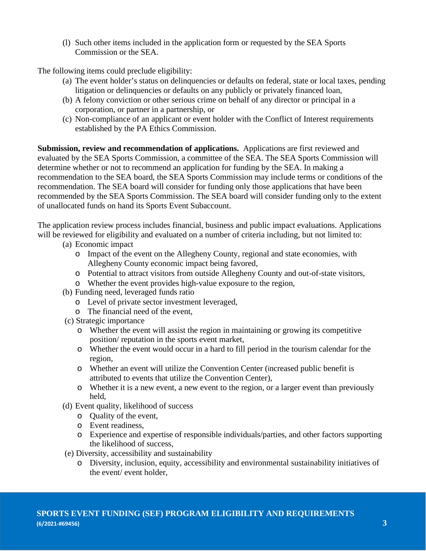(l) Such other items included in the application form or requested by the SEA Sports Commission or the SEA.

The following items could preclude eligibility:

- (a) The event holder's status on delinquencies or defaults on federal, state or local taxes, pending litigation or delinquencies or defaults on any publicly or privately financed loan,
- (b) A felony conviction or other serious crime on behalf of any director or principal in a corporation, or partner in a partnership, or
- (c) Non-compliance of an applicant or event holder with the Conflict of Interest requirements established by the PA Ethics Commission.

**Submission, review and recommendation of applications.** Applications are first reviewed and evaluated by the SEA Sports Commission, a committee of the SEA. The SEA Sports Commission will determine whether or not to recommend an application for funding by the SEA. In making a recommendation to the SEA board, the SEA Sports Commission may include terms or conditions of the recommendation. The SEA board will consider for funding only those applications that have been recommended by the SEA Sports Commission. The SEA board will consider funding only to the extent of unallocated funds on hand its Sports Event Subaccount.

The application review process includes financial, business and public impact evaluations. Applications will be reviewed for eligibility and evaluated on a number of criteria including, but not limited to:

- (a) Economic impact
	- o Impact of the event on the Allegheny County, regional and state economies, with Allegheny County economic impact being favored,
	- o Potential to attract visitors from outside Allegheny County and out-of-state visitors,
	- o Whether the event provides high-value exposure to the region,
- (b) Funding need, leveraged funds ratio
	- o Level of private sector investment leveraged,
	- o The financial need of the event,
- (c) Strategic importance
	- o Whether the event will assist the region in maintaining or growing its competitive position/ reputation in the sports event market,
	- o Whether the event would occur in a hard to fill period in the tourism calendar for the region,
	- o Whether an event will utilize the Convention Center (increased public benefit is attributed to events that utilize the Convention Center),
	- o Whether it is a new event, a new event to the region, or a larger event than previously held,
- (d) Event quality, likelihood of success
	- o Quality of the event,
	- o Event readiness,
	- o Experience and expertise of responsible individuals/parties, and other factors supporting the likelihood of success,
- (e) Diversity, accessibility and sustainability
	- o Diversity, inclusion, equity, accessibility and environmental sustainability initiatives of the event/ event holder,